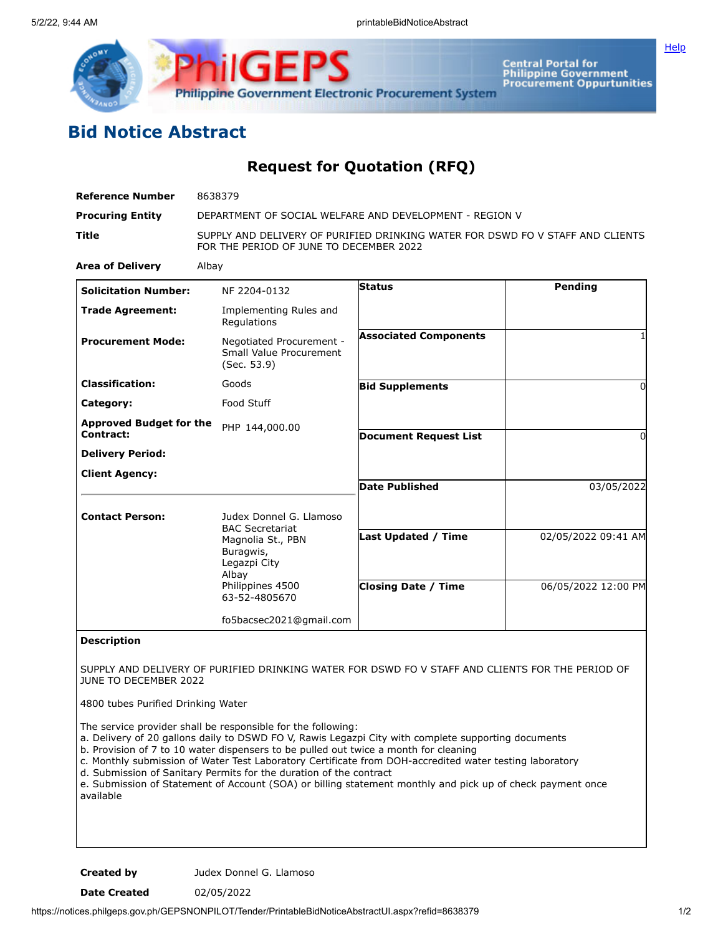



**Central Portal for<br>Philippine Government<br>Procurement Oppurtunities** 

## **Bid Notice Abstract**

**Request for Quotation (RFQ)**

| Reference Number                            | 8638379                                                                                                                                                                                                                    |                                                                                                                                                                                                                                                                                                                              |                     |
|---------------------------------------------|----------------------------------------------------------------------------------------------------------------------------------------------------------------------------------------------------------------------------|------------------------------------------------------------------------------------------------------------------------------------------------------------------------------------------------------------------------------------------------------------------------------------------------------------------------------|---------------------|
| <b>Procuring Entity</b>                     | DEPARTMENT OF SOCIAL WELFARE AND DEVELOPMENT - REGION V                                                                                                                                                                    |                                                                                                                                                                                                                                                                                                                              |                     |
| Title                                       | SUPPLY AND DELIVERY OF PURIFIED DRINKING WATER FOR DSWD FO V STAFF AND CLIENTS<br>FOR THE PERIOD OF JUNE TO DECEMBER 2022                                                                                                  |                                                                                                                                                                                                                                                                                                                              |                     |
| <b>Area of Delivery</b>                     | Albay                                                                                                                                                                                                                      |                                                                                                                                                                                                                                                                                                                              |                     |
| <b>Solicitation Number:</b>                 | NF 2204-0132                                                                                                                                                                                                               | <b>Status</b>                                                                                                                                                                                                                                                                                                                | Pending             |
| <b>Trade Agreement:</b>                     | Implementing Rules and<br>Regulations                                                                                                                                                                                      |                                                                                                                                                                                                                                                                                                                              |                     |
| <b>Procurement Mode:</b>                    | Negotiated Procurement -<br>Small Value Procurement<br>(Sec. 53.9)                                                                                                                                                         | <b>Associated Components</b>                                                                                                                                                                                                                                                                                                 |                     |
| <b>Classification:</b>                      | Goods                                                                                                                                                                                                                      | <b>Bid Supplements</b>                                                                                                                                                                                                                                                                                                       | 0                   |
| Category:                                   | Food Stuff                                                                                                                                                                                                                 |                                                                                                                                                                                                                                                                                                                              |                     |
| <b>Approved Budget for the</b><br>Contract: | PHP 144,000.00                                                                                                                                                                                                             | <b>Document Request List</b>                                                                                                                                                                                                                                                                                                 | 0                   |
| <b>Delivery Period:</b>                     |                                                                                                                                                                                                                            |                                                                                                                                                                                                                                                                                                                              |                     |
| <b>Client Agency:</b>                       |                                                                                                                                                                                                                            |                                                                                                                                                                                                                                                                                                                              |                     |
|                                             |                                                                                                                                                                                                                            | <b>Date Published</b>                                                                                                                                                                                                                                                                                                        | 03/05/2022          |
| <b>Contact Person:</b>                      | Judex Donnel G. Llamoso                                                                                                                                                                                                    |                                                                                                                                                                                                                                                                                                                              |                     |
|                                             | <b>BAC Secretariat</b><br>Magnolia St., PBN                                                                                                                                                                                | Last Updated / Time                                                                                                                                                                                                                                                                                                          | 02/05/2022 09:41 AM |
|                                             | Buragwis,                                                                                                                                                                                                                  |                                                                                                                                                                                                                                                                                                                              |                     |
|                                             | Legazpi City<br>Albay                                                                                                                                                                                                      |                                                                                                                                                                                                                                                                                                                              |                     |
|                                             | Philippines 4500<br>63-52-4805670                                                                                                                                                                                          | <b>Closing Date / Time</b>                                                                                                                                                                                                                                                                                                   | 06/05/2022 12:00 PM |
|                                             | fo5bacsec2021@gmail.com                                                                                                                                                                                                    |                                                                                                                                                                                                                                                                                                                              |                     |
| <b>Description</b>                          |                                                                                                                                                                                                                            |                                                                                                                                                                                                                                                                                                                              |                     |
| JUNE TO DECEMBER 2022                       |                                                                                                                                                                                                                            | SUPPLY AND DELIVERY OF PURIFIED DRINKING WATER FOR DSWD FO V STAFF AND CLIENTS FOR THE PERIOD OF                                                                                                                                                                                                                             |                     |
| 4800 tubes Purified Drinking Water          |                                                                                                                                                                                                                            |                                                                                                                                                                                                                                                                                                                              |                     |
| available                                   | The service provider shall be responsible for the following:<br>b. Provision of 7 to 10 water dispensers to be pulled out twice a month for cleaning<br>d. Submission of Sanitary Permits for the duration of the contract | a. Delivery of 20 gallons daily to DSWD FO V, Rawis Legazpi City with complete supporting documents<br>c. Monthly submission of Water Test Laboratory Certificate from DOH-accredited water testing laboratory<br>e. Submission of Statement of Account (SOA) or billing statement monthly and pick up of check payment once |                     |

**Created by** Judex Donnel G. Llamoso

**Date Created** 02/05/2022